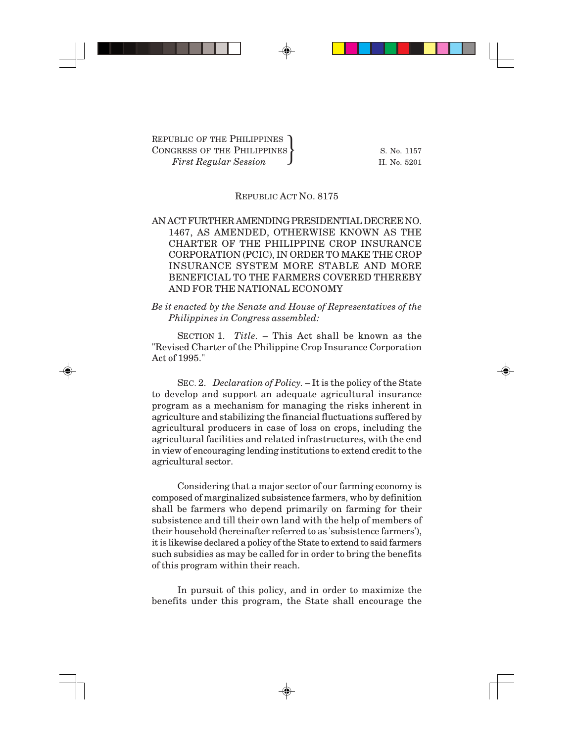## REPUBLIC ACT NO. 8175

## AN ACT FURTHER AMENDING PRESIDENTIAL DECREE NO. 1467, AS AMENDED, OTHERWISE KNOWN AS THE CHARTER OF THE PHILIPPINE CROP INSURANCE CORPORATION (PCIC), IN ORDER TO MAKE THE CROP INSURANCE SYSTEM MORE STABLE AND MORE BENEFICIAL TO THE FARMERS COVERED THEREBY AND FOR THE NATIONAL ECONOMY

*Be it enacted by the Senate and House of Representatives of the Philippines in Congress assembled:*

SECTION 1. *Title.* – This Act shall be known as the "Revised Charter of the Philippine Crop Insurance Corporation Act of 1995."

SEC. 2. *Declaration of Policy.* – It is the policy of the State to develop and support an adequate agricultural insurance program as a mechanism for managing the risks inherent in agriculture and stabilizing the financial fluctuations suffered by agricultural producers in case of loss on crops, including the agricultural facilities and related infrastructures, with the end in view of encouraging lending institutions to extend credit to the agricultural sector.

Considering that a major sector of our farming economy is composed of marginalized subsistence farmers, who by definition shall be farmers who depend primarily on farming for their subsistence and till their own land with the help of members of their household (hereinafter referred to as 'subsistence farmers'), it is likewise declared a policy of the State to extend to said farmers such subsidies as may be called for in order to bring the benefits of this program within their reach.

In pursuit of this policy, and in order to maximize the benefits under this program, the State shall encourage the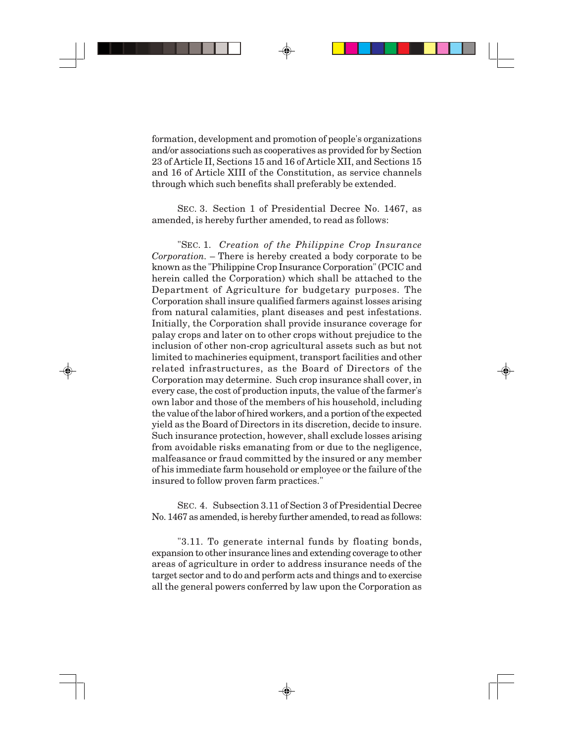formation, development and promotion of people's organizations and/or associations such as cooperatives as provided for by Section 23 of Article II, Sections 15 and 16 of Article XII, and Sections 15 and 16 of Article XIII of the Constitution, as service channels through which such benefits shall preferably be extended.

SEC. 3. Section 1 of Presidential Decree No. 1467, as amended, is hereby further amended, to read as follows:

"SEC. 1. *Creation of the Philippine Crop Insurance Corporation.* – There is hereby created a body corporate to be known as the "Philippine Crop Insurance Corporation" (PCIC and herein called the Corporation) which shall be attached to the Department of Agriculture for budgetary purposes. The Corporation shall insure qualified farmers against losses arising from natural calamities, plant diseases and pest infestations. Initially, the Corporation shall provide insurance coverage for palay crops and later on to other crops without prejudice to the inclusion of other non-crop agricultural assets such as but not limited to machineries equipment, transport facilities and other related infrastructures, as the Board of Directors of the Corporation may determine. Such crop insurance shall cover, in every case, the cost of production inputs, the value of the farmer's own labor and those of the members of his household, including the value of the labor of hired workers, and a portion of the expected yield as the Board of Directors in its discretion, decide to insure. Such insurance protection, however, shall exclude losses arising from avoidable risks emanating from or due to the negligence, malfeasance or fraud committed by the insured or any member of his immediate farm household or employee or the failure of the insured to follow proven farm practices."

SEC. 4. Subsection 3.11 of Section 3 of Presidential Decree No. 1467 as amended, is hereby further amended, to read as follows:

"3.11. To generate internal funds by floating bonds, expansion to other insurance lines and extending coverage to other areas of agriculture in order to address insurance needs of the target sector and to do and perform acts and things and to exercise all the general powers conferred by law upon the Corporation as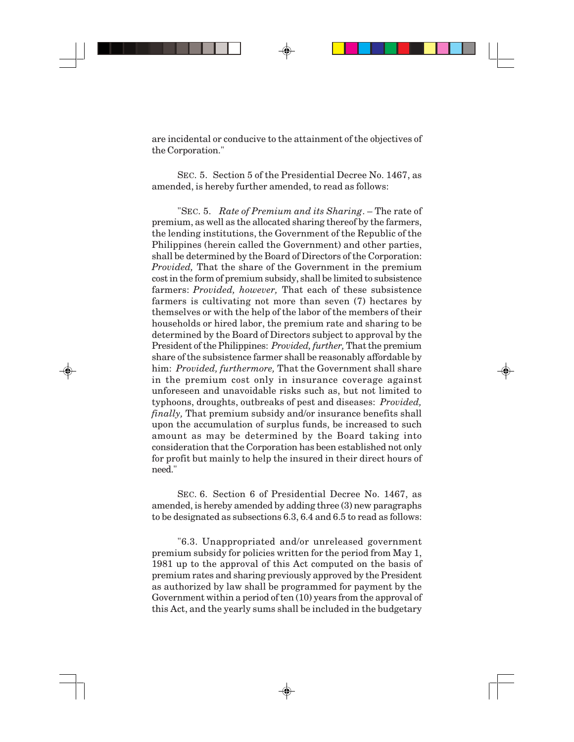are incidental or conducive to the attainment of the objectives of the Corporation."

SEC. 5. Section 5 of the Presidential Decree No. 1467, as amended, is hereby further amended, to read as follows:

"SEC. 5. *Rate of Premium and its Sharing*. – The rate of premium, as well as the allocated sharing thereof by the farmers, the lending institutions, the Government of the Republic of the Philippines (herein called the Government) and other parties, shall be determined by the Board of Directors of the Corporation: *Provided,* That the share of the Government in the premium cost in the form of premium subsidy, shall be limited to subsistence farmers: *Provided, however,* That each of these subsistence farmers is cultivating not more than seven (7) hectares by themselves or with the help of the labor of the members of their households or hired labor, the premium rate and sharing to be determined by the Board of Directors subject to approval by the President of the Philippines: *Provided, further,* That the premium share of the subsistence farmer shall be reasonably affordable by him: *Provided, furthermore,* That the Government shall share in the premium cost only in insurance coverage against unforeseen and unavoidable risks such as, but not limited to typhoons, droughts, outbreaks of pest and diseases: *Provided, finally,* That premium subsidy and/or insurance benefits shall upon the accumulation of surplus funds, be increased to such amount as may be determined by the Board taking into consideration that the Corporation has been established not only for profit but mainly to help the insured in their direct hours of need."

SEC. 6. Section 6 of Presidential Decree No. 1467, as amended, is hereby amended by adding three (3) new paragraphs to be designated as subsections 6.3, 6.4 and 6.5 to read as follows:

"6.3. Unappropriated and/or unreleased government premium subsidy for policies written for the period from May 1, 1981 up to the approval of this Act computed on the basis of premium rates and sharing previously approved by the President as authorized by law shall be programmed for payment by the Government within a period of ten (10) years from the approval of this Act, and the yearly sums shall be included in the budgetary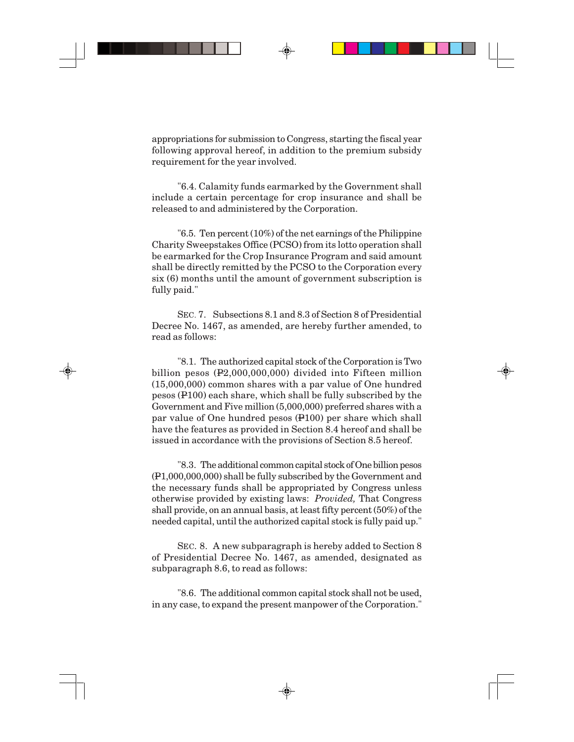appropriations for submission to Congress, starting the fiscal year following approval hereof, in addition to the premium subsidy requirement for the year involved.

"6.4. Calamity funds earmarked by the Government shall include a certain percentage for crop insurance and shall be released to and administered by the Corporation.

"6.5. Ten percent (10%) of the net earnings of the Philippine Charity Sweepstakes Office (PCSO) from its lotto operation shall be earmarked for the Crop Insurance Program and said amount shall be directly remitted by the PCSO to the Corporation every six (6) months until the amount of government subscription is fully paid."

SEC. 7. Subsections 8.1 and 8.3 of Section 8 of Presidential Decree No. 1467, as amended, are hereby further amended, to read as follows:

"8.1. The authorized capital stock of the Corporation is Two billion pesos (P2,000,000,000) divided into Fifteen million (15,000,000) common shares with a par value of One hundred pesos (P100) each share, which shall be fully subscribed by the Government and Five million (5,000,000) preferred shares with a par value of One hundred pesos (P100) per share which shall have the features as provided in Section 8.4 hereof and shall be issued in accordance with the provisions of Section 8.5 hereof.

"8.3. The additional common capital stock of One billion pesos (P1,000,000,000) shall be fully subscribed by the Government and the necessary funds shall be appropriated by Congress unless otherwise provided by existing laws: *Provided,* That Congress shall provide, on an annual basis, at least fifty percent (50%) of the needed capital, until the authorized capital stock is fully paid up."

SEC. 8. A new subparagraph is hereby added to Section 8 of Presidential Decree No. 1467, as amended, designated as subparagraph 8.6, to read as follows:

"8.6. The additional common capital stock shall not be used, in any case, to expand the present manpower of the Corporation."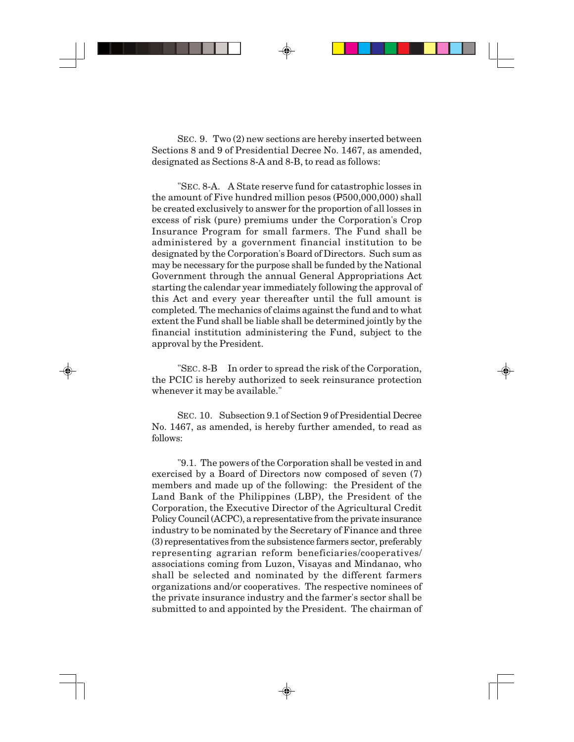SEC. 9. Two (2) new sections are hereby inserted between Sections 8 and 9 of Presidential Decree No. 1467, as amended, designated as Sections 8-A and 8-B, to read as follows:

"SEC. 8-A. A State reserve fund for catastrophic losses in the amount of Five hundred million pesos (P500,000,000) shall be created exclusively to answer for the proportion of all losses in excess of risk (pure) premiums under the Corporation's Crop Insurance Program for small farmers. The Fund shall be administered by a government financial institution to be designated by the Corporation's Board of Directors. Such sum as may be necessary for the purpose shall be funded by the National Government through the annual General Appropriations Act starting the calendar year immediately following the approval of this Act and every year thereafter until the full amount is completed. The mechanics of claims against the fund and to what extent the Fund shall be liable shall be determined jointly by the financial institution administering the Fund, subject to the approval by the President.

"SEC. 8-B In order to spread the risk of the Corporation, the PCIC is hereby authorized to seek reinsurance protection whenever it may be available."

SEC. 10. Subsection 9.1 of Section 9 of Presidential Decree No. 1467, as amended, is hereby further amended, to read as follows:

"9.1. The powers of the Corporation shall be vested in and exercised by a Board of Directors now composed of seven (7) members and made up of the following: the President of the Land Bank of the Philippines (LBP), the President of the Corporation, the Executive Director of the Agricultural Credit Policy Council (ACPC), a representative from the private insurance industry to be nominated by the Secretary of Finance and three (3) representatives from the subsistence farmers sector, preferably representing agrarian reform beneficiaries/cooperatives/ associations coming from Luzon, Visayas and Mindanao, who shall be selected and nominated by the different farmers organizations and/or cooperatives. The respective nominees of the private insurance industry and the farmer's sector shall be submitted to and appointed by the President. The chairman of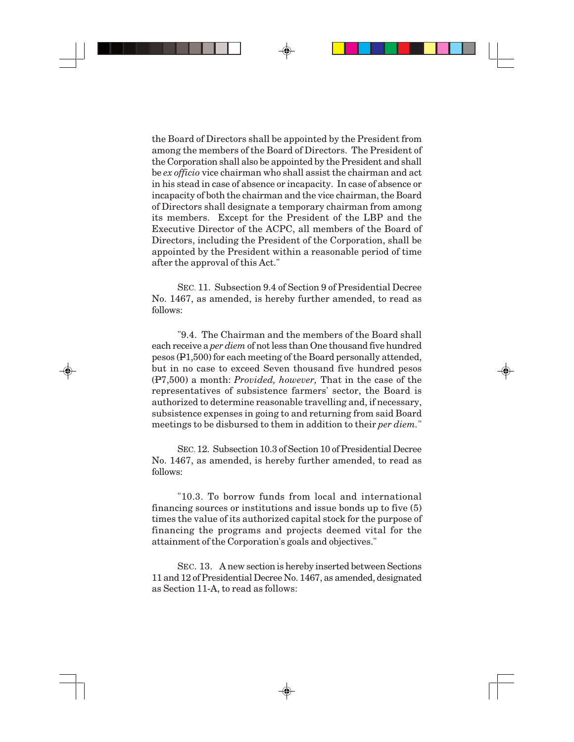the Board of Directors shall be appointed by the President from among the members of the Board of Directors. The President of the Corporation shall also be appointed by the President and shall be *ex officio* vice chairman who shall assist the chairman and act in his stead in case of absence or incapacity. In case of absence or incapacity of both the chairman and the vice chairman, the Board of Directors shall designate a temporary chairman from among its members. Except for the President of the LBP and the Executive Director of the ACPC, all members of the Board of Directors, including the President of the Corporation, shall be appointed by the President within a reasonable period of time after the approval of this Act."

SEC. 11. Subsection 9.4 of Section 9 of Presidential Decree No. 1467, as amended, is hereby further amended, to read as follows:

"9.4. The Chairman and the members of the Board shall each receive a *per diem* of not less than One thousand five hundred pesos (P1,500) for each meeting of the Board personally attended, but in no case to exceed Seven thousand five hundred pesos (P7,500) a month: *Provided, however,* That in the case of the representatives of subsistence farmers' sector, the Board is authorized to determine reasonable travelling and, if necessary, subsistence expenses in going to and returning from said Board meetings to be disbursed to them in addition to their *per diem.*"

SEC. 12. Subsection 10.3 of Section 10 of Presidential Decree No. 1467, as amended, is hereby further amended, to read as follows:

"10.3. To borrow funds from local and international financing sources or institutions and issue bonds up to five (5) times the value of its authorized capital stock for the purpose of financing the programs and projects deemed vital for the attainment of the Corporation's goals and objectives."

SEC. 13. A new section is hereby inserted between Sections 11 and 12 of Presidential Decree No. 1467, as amended, designated as Section 11-A, to read as follows: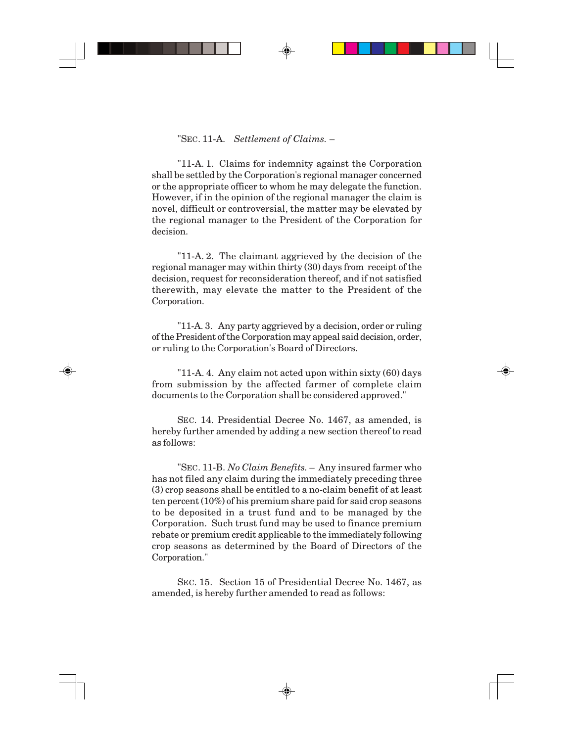## "SEC. 11-A. *Settlement of Claims.* –

"11-A. 1. Claims for indemnity against the Corporation shall be settled by the Corporation's regional manager concerned or the appropriate officer to whom he may delegate the function. However, if in the opinion of the regional manager the claim is novel, difficult or controversial, the matter may be elevated by the regional manager to the President of the Corporation for decision.

"11-A. 2. The claimant aggrieved by the decision of the regional manager may within thirty (30) days from receipt of the decision, request for reconsideration thereof, and if not satisfied therewith, may elevate the matter to the President of the Corporation.

"11-A. 3. Any party aggrieved by a decision, order or ruling of the President of the Corporation may appeal said decision, order, or ruling to the Corporation's Board of Directors.

"11-A. 4. Any claim not acted upon within sixty (60) days from submission by the affected farmer of complete claim documents to the Corporation shall be considered approved."

SEC. 14. Presidential Decree No. 1467, as amended, is hereby further amended by adding a new section thereof to read as follows:

"SEC. 11-B. *No Claim Benefits.* – Any insured farmer who has not filed any claim during the immediately preceding three (3) crop seasons shall be entitled to a no-claim benefit of at least ten percent (10%) of his premium share paid for said crop seasons to be deposited in a trust fund and to be managed by the Corporation. Such trust fund may be used to finance premium rebate or premium credit applicable to the immediately following crop seasons as determined by the Board of Directors of the Corporation."

SEC. 15. Section 15 of Presidential Decree No. 1467, as amended, is hereby further amended to read as follows: